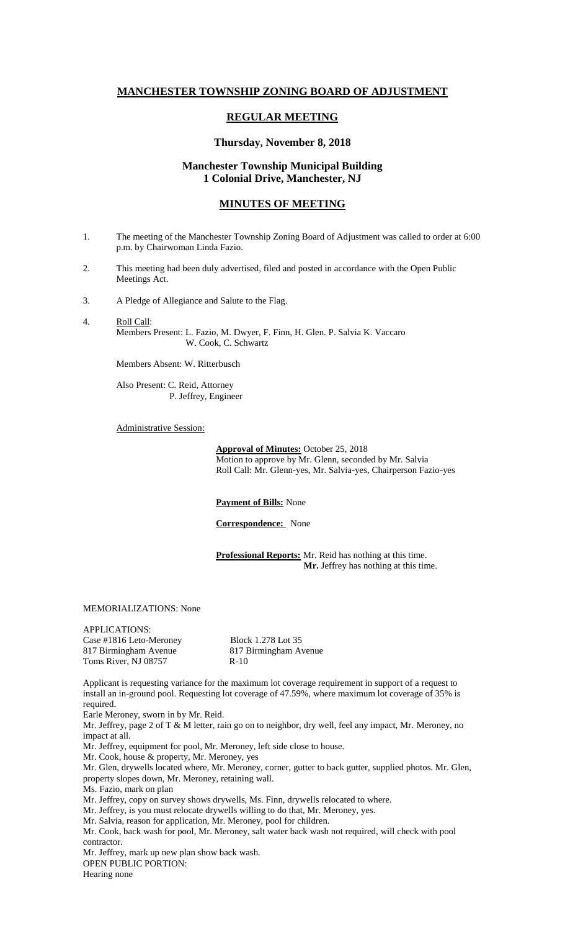# **MANCHESTER TOWNSHIP ZONING BOARD OF ADJUSTMENT**

# **REGULAR MEETING**

#### **Thursday, November 8, 2018**

### **Manchester Township Municipal Building 1 Colonial Drive, Manchester, NJ**

## **MINUTES OF MEETING**

- 1. The meeting of the Manchester Township Zoning Board of Adjustment was called to order at 6:00 p.m. by Chairwoman Linda Fazio.
- 2. This meeting had been duly advertised, filed and posted in accordance with the Open Public Meetings Act.
- 3. A Pledge of Allegiance and Salute to the Flag.
- 4. Roll Call: Members Present: L. Fazio, M. Dwyer, F. Finn, H. Glen. P. Salvia K. Vaccaro W. Cook, C. Schwartz

Members Absent: W. Ritterbusch

Also Present: C. Reid, Attorney P. Jeffrey, Engineer

Administrative Session:

**Approval of Minutes:** October 25, 2018 Motion to approve by Mr. Glenn, seconded by Mr. Salvia Roll Call: Mr. Glenn-yes, Mr. Salvia-yes, Chairperson Fazio-yes

**Payment of Bills:** None

**Correspondence:** None

**Professional Reports:** Mr. Reid has nothing at this time.  **Mr.** Jeffrey has nothing at this time.

MEMORIALIZATIONS: None

APPLICATIONS: Case #1816 Leto-Meroney Block 1.278 Lot 35 817 Birmingham Avenue<br>
Toms River, NJ 08757 R-10 Toms River, NJ 08757

Applicant is requesting variance for the maximum lot coverage requirement in support of a request to install an in-ground pool. Requesting lot coverage of 47.59%, where maximum lot coverage of 35% is required.

Earle Meroney, sworn in by Mr. Reid.

Mr. Jeffrey, page 2 of  $T \& M$  letter, rain go on to neighbor, dry well, feel any impact, Mr. Meroney, no impact at all.

Mr. Jeffrey, equipment for pool, Mr. Meroney, left side close to house.

Mr. Cook, house & property, Mr. Meroney, yes

Mr. Glen, drywells located where, Mr. Meroney, corner, gutter to back gutter, supplied photos. Mr. Glen, property slopes down, Mr. Meroney, retaining wall.

Ms. Fazio, mark on plan

Mr. Jeffrey, copy on survey shows drywells, Ms. Finn, drywells relocated to where.

Mr. Jeffrey, is you must relocate drywells willing to do that, Mr. Meroney, yes.

Mr. Salvia, reason for application, Mr. Meroney, pool for children.

Mr. Cook, back wash for pool, Mr. Meroney, salt water back wash not required, will check with pool contractor.

Mr. Jeffrey, mark up new plan show back wash.

OPEN PUBLIC PORTION:

Hearing none